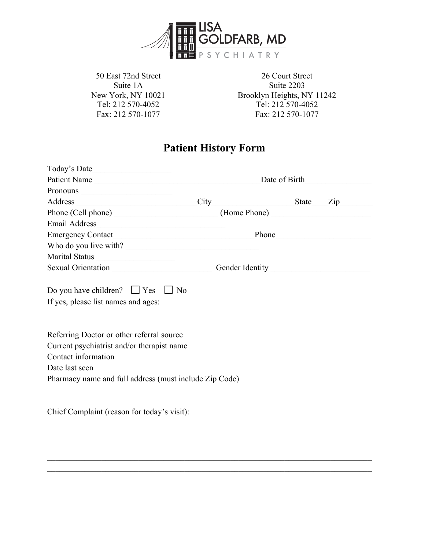

50 East 72nd Street Suite 1A New York, NY 10021 Tel: 212 570-4052 Fax: 212 570-1077

26 Court Street Suite 2203 Brooklyn Heights, NY 11242 Tel: 212 570-4052 Fax: 212 570-1077

# **Patient History Form**

| Address City State Zip                                                                                                                                                                                                         |  |  |  |  |
|--------------------------------------------------------------------------------------------------------------------------------------------------------------------------------------------------------------------------------|--|--|--|--|
|                                                                                                                                                                                                                                |  |  |  |  |
|                                                                                                                                                                                                                                |  |  |  |  |
|                                                                                                                                                                                                                                |  |  |  |  |
| Who do you live with?                                                                                                                                                                                                          |  |  |  |  |
| Marital Status                                                                                                                                                                                                                 |  |  |  |  |
| Sexual Orientation Contact Contact Contact Contact Contact Contact Contact Contact Contact Contact Contact Contact Contact Contact Contact Contact Contact Contact Contact Contact Contact Contact Contact Contact Contact Con |  |  |  |  |
| Do you have children? $\Box$ Yes $\Box$ No<br>If yes, please list names and ages:                                                                                                                                              |  |  |  |  |
|                                                                                                                                                                                                                                |  |  |  |  |
|                                                                                                                                                                                                                                |  |  |  |  |
|                                                                                                                                                                                                                                |  |  |  |  |
|                                                                                                                                                                                                                                |  |  |  |  |
| Pharmacy name and full address (must include Zip Code) _________________________                                                                                                                                               |  |  |  |  |
| Chief Complaint (reason for today's visit):                                                                                                                                                                                    |  |  |  |  |
|                                                                                                                                                                                                                                |  |  |  |  |
|                                                                                                                                                                                                                                |  |  |  |  |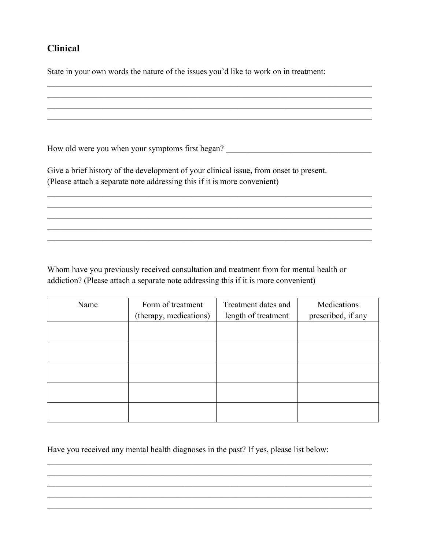## **Clinical**

State in your own words the nature of the issues you'd like to work on in treatment:

 $\_$  , and the set of the set of the set of the set of the set of the set of the set of the set of the set of the set of the set of the set of the set of the set of the set of the set of the set of the set of the set of th How old were you when your symptoms first began? \_\_\_\_\_\_\_\_\_\_\_\_\_\_\_\_\_\_\_\_\_\_\_\_\_\_\_\_\_\_\_ Give a brief history of the development of your clinical issue, from onset to present. (Please attach a separate note addressing this if it is more convenient)  $\_$  , and the set of the set of the set of the set of the set of the set of the set of the set of the set of the set of the set of the set of the set of the set of the set of the set of the set of the set of the set of th

Whom have you previously received consultation and treatment from for mental health or addiction? (Please attach a separate note addressing this if it is more convenient)

| Name | Form of treatment      | Treatment dates and | Medications        |
|------|------------------------|---------------------|--------------------|
|      | (therapy, medications) | length of treatment | prescribed, if any |
|      |                        |                     |                    |
|      |                        |                     |                    |
|      |                        |                     |                    |
|      |                        |                     |                    |
|      |                        |                     |                    |
|      |                        |                     |                    |
|      |                        |                     |                    |
|      |                        |                     |                    |

 $\_$  , and the set of the set of the set of the set of the set of the set of the set of the set of the set of the set of the set of the set of the set of the set of the set of the set of the set of the set of the set of th

Have you received any mental health diagnoses in the past? If yes, please list below: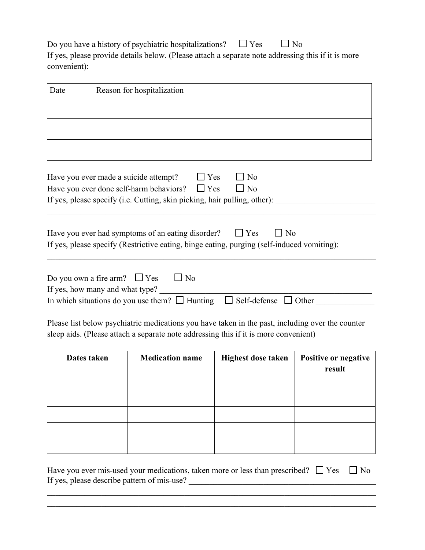Do you have a history of psychiatric hospitalizations?  $\Box$  Yes  $\Box$  No If yes, please provide details below. (Please attach a separate note addressing this if it is more convenient):

| Date                                                                                             |  | Reason for hospitalization                                                |                           |                      |
|--------------------------------------------------------------------------------------------------|--|---------------------------------------------------------------------------|---------------------------|----------------------|
|                                                                                                  |  |                                                                           |                           |                      |
|                                                                                                  |  |                                                                           |                           |                      |
|                                                                                                  |  |                                                                           |                           |                      |
|                                                                                                  |  |                                                                           |                           |                      |
|                                                                                                  |  | Have you ever made a suicide attempt?<br>$\Box$ Yes                       | No                        |                      |
|                                                                                                  |  | Have you ever done self-harm behaviors?<br>$\Box$ Yes                     | $\Box$ No                 |                      |
|                                                                                                  |  | If yes, please specify (i.e. Cutting, skin picking, hair pulling, other): |                           |                      |
|                                                                                                  |  |                                                                           |                           |                      |
| $\Box$ No<br>Have you ever had symptoms of an eating disorder?<br>$\Box$ Yes                     |  |                                                                           |                           |                      |
| If yes, please specify (Restrictive eating, binge eating, purging (self-induced vomiting):       |  |                                                                           |                           |                      |
|                                                                                                  |  |                                                                           |                           |                      |
| Do you own a fire arm? $\Box$ Yes<br>$\Box$ No                                                   |  |                                                                           |                           |                      |
| If yes, how many and what type?                                                                  |  |                                                                           |                           |                      |
| In which situations do you use them? $\Box$ Hunting $\Box$ Self-defense $\Box$ Other             |  |                                                                           |                           |                      |
|                                                                                                  |  |                                                                           |                           |                      |
| Please list below psychiatric medications you have taken in the past, including over the counter |  |                                                                           |                           |                      |
| sleep aids. (Please attach a separate note addressing this if it is more convenient)             |  |                                                                           |                           |                      |
| Dates taken                                                                                      |  | <b>Medication name</b>                                                    | <b>Highest dose taken</b> | Positive or negative |

| Dates tanen | <b><i>INVARRION HAMIT</i></b> | mgutot ubot tanén | rositive of negative |
|-------------|-------------------------------|-------------------|----------------------|
|             |                               |                   | result               |
|             |                               |                   |                      |
|             |                               |                   |                      |
|             |                               |                   |                      |
|             |                               |                   |                      |
|             |                               |                   |                      |
|             |                               |                   |                      |
|             |                               |                   |                      |

Have you ever mis-used your medications, taken more or less than prescribed?  $\Box$  Yes  $\Box$  No If yes, please describe pattern of mis-use? \_\_\_\_\_\_\_\_\_\_\_\_\_\_\_\_\_\_\_\_\_\_\_\_\_\_\_\_\_\_\_\_\_\_\_\_\_\_\_\_\_\_\_\_\_

 $\_$  , and the set of the set of the set of the set of the set of the set of the set of the set of the set of the set of the set of the set of the set of the set of the set of the set of the set of the set of the set of th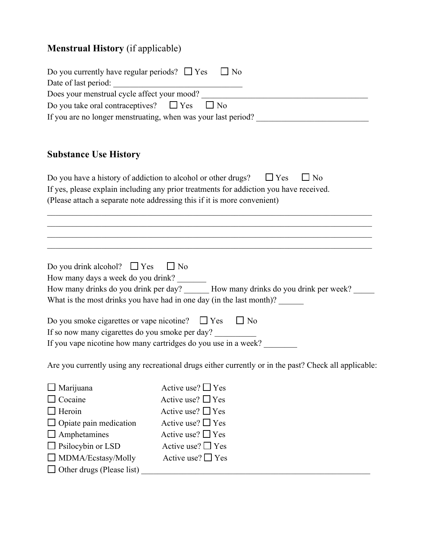# **Menstrual History** (if applicable)

| Do you currently have regular periods? $\Box$ Yes $\Box$ No                                                                     |                                                                                                                                                                                    |  |
|---------------------------------------------------------------------------------------------------------------------------------|------------------------------------------------------------------------------------------------------------------------------------------------------------------------------------|--|
|                                                                                                                                 |                                                                                                                                                                                    |  |
|                                                                                                                                 | Does your menstrual cycle affect your mood?<br>$\Box$ No                                                                                                                           |  |
| Do you take oral contraceptives? $\Box$ Yes<br>If you are no longer menstruating, when was your last period? __________________ |                                                                                                                                                                                    |  |
|                                                                                                                                 |                                                                                                                                                                                    |  |
| <b>Substance Use History</b>                                                                                                    |                                                                                                                                                                                    |  |
|                                                                                                                                 | $\Box$ No<br>Do you have a history of addiction to alcohol or other drugs? $\square$ Yes<br>If yes, please explain including any prior treatments for addiction you have received. |  |
|                                                                                                                                 | (Please attach a separate note addressing this if it is more convenient)                                                                                                           |  |
|                                                                                                                                 | ,我们也不能在这里的时候,我们也不能在这里的时候,我们也不能会在这里的时候,我们也不能会在这里的时候,我们也不能会在这里的时候,我们也不能会在这里的时候,我们也                                                                                                   |  |
| Do you drink alcohol? $\Box$ Yes                                                                                                | $\Box$ No                                                                                                                                                                          |  |
| How many days a week do you drink?                                                                                              | How many drinks do you drink per day? ______ How many drinks do you drink per week? __<br>What is the most drinks you have had in one day (in the last month)? ___________         |  |
| Do you smoke cigarettes or vape nicotine? $\Box$ Yes $\Box$ No                                                                  |                                                                                                                                                                                    |  |
| If so now many cigarettes do you smoke per day?                                                                                 |                                                                                                                                                                                    |  |
|                                                                                                                                 | If you vape nicotine how many cartridges do you use in a week?                                                                                                                     |  |
|                                                                                                                                 | Are you currently using any recreational drugs either currently or in the past? Check all applicable:                                                                              |  |
| Marijuana                                                                                                                       | Active use? $\Box$ Yes                                                                                                                                                             |  |
| Cocaine                                                                                                                         | Active use? $\Box$ Yes                                                                                                                                                             |  |
| Heroin                                                                                                                          | Active use? $\Box$ Yes                                                                                                                                                             |  |
| Opiate pain medication                                                                                                          | Active use? $\Box$ Yes                                                                                                                                                             |  |
| Amphetamines                                                                                                                    | Active use? $\Box$ Yes                                                                                                                                                             |  |
| Psilocybin or LSD                                                                                                               | Active use? $\Box$ Yes                                                                                                                                                             |  |
| MDMA/Ecstasy/Molly                                                                                                              | Active use? $\Box$ Yes                                                                                                                                                             |  |
| Other drugs (Please list)                                                                                                       |                                                                                                                                                                                    |  |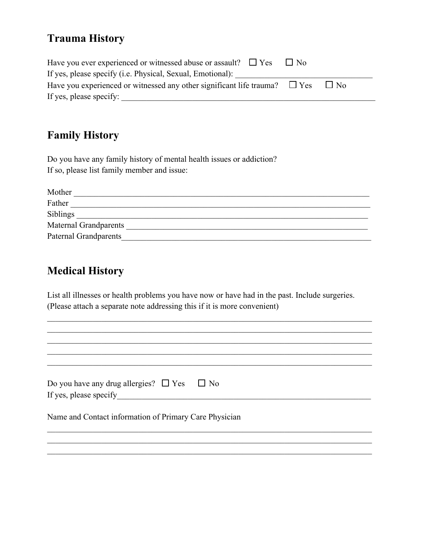## **Trauma History**

| Have you ever experienced or witnessed abuse or assault? $\Box$ Yes $\Box$ No                |  |
|----------------------------------------------------------------------------------------------|--|
| If yes, please specify (i.e. Physical, Sexual, Emotional):                                   |  |
| Have you experienced or witnessed any other significant life trauma? $\Box$ Yes<br>$\Box$ No |  |
| If yes, please specify:                                                                      |  |

## **Family History**

Do you have any family history of mental health issues or addiction? If so, please list family member and issue:

| Mother                       |
|------------------------------|
| Father                       |
| Siblings                     |
| <b>Maternal Grandparents</b> |
| <b>Paternal Grandparents</b> |

## **Medical History**

List all illnesses or health problems you have now or have had in the past. Include surgeries. (Please attach a separate note addressing this if it is more convenient)

| Do you have any drug allergies? $\Box$ Yes $\Box$ No   |
|--------------------------------------------------------|
| If yes, please specify                                 |
|                                                        |
| Name and Contact information of Primary Care Physician |
|                                                        |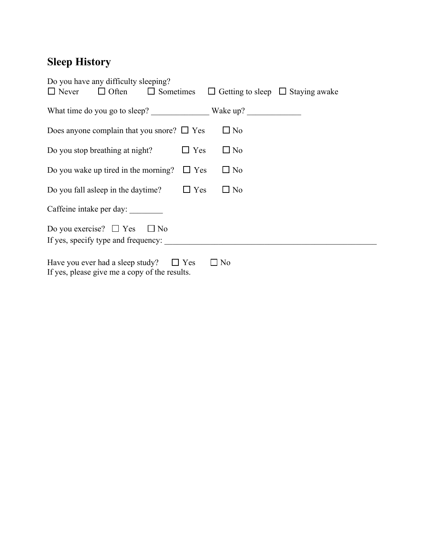# **Sleep History**

| Do you have any difficulty sleeping?                                                                            |
|-----------------------------------------------------------------------------------------------------------------|
| $\Box$ Never $\Box$ Often $\Box$ Sometimes $\Box$ Getting to sleep $\Box$ Staying awake                         |
| What time do you go to sleep? Wake up?                                                                          |
| $\square$ No<br>Does anyone complain that you snore? $\Box$ Yes                                                 |
| $\Box$ No<br>$\Box$ Yes<br>Do you stop breathing at night?                                                      |
| $\square$ No<br>Do you wake up tired in the morning? $\Box$ Yes                                                 |
| $\Box$ No<br>Do you fall asleep in the daytime?<br>$\Box$ Yes                                                   |
| Caffeine intake per day:                                                                                        |
| Do you exercise? $\Box$ Yes $\Box$ No                                                                           |
| If yes, specify type and frequency:                                                                             |
| Have you ever had a sleep study?<br>$\Box$ Yes<br>$\square$ No<br>If yes, please give me a copy of the results. |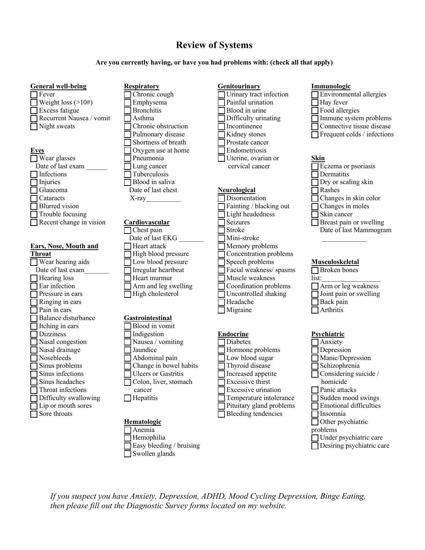## **Review of Systems**

**Are you currently having, or have you had problems with: (check all that apply)**

| <b>General well-being</b>    | <b>Respiratory</b>     | Genitourinary            |
|------------------------------|------------------------|--------------------------|
| Fever                        | Chronic cough          | Urinary tract infection  |
| Weight loss $(>10#)$         | Emphysema              | Painful urination        |
| Excess fatigue               | <b>Bronchitis</b>      | Blood in urine           |
| Recurrent Nausea / vomit     | Asthma                 | Difficulty urinating     |
| Night sweats                 | Chronic obstruction    | Incontinence             |
|                              | Pulmonary disease      | Kidney stones            |
|                              | Shortness of breath    | Prostate cancer          |
| <b>Eyes</b>                  | Oxygen use at home     | Endometriosis            |
| Wear glasses                 | Pneumonia              | Uterine, ovarian or      |
| Date of last exam            | Lung cancer            | cervical cancer          |
| Infections                   | Tuberculosis           |                          |
| Injuries                     | Blood in saliva        |                          |
| Glaucoma                     | Date of last chest     | <b>Neurological</b>      |
| Cataracts                    | $X$ -ray               | Disorientation           |
| <b>Blurred</b> vision        |                        | Fainting / blacking out  |
| Trouble focusing             |                        | Light headedness         |
| Recent change in vision      | Cardiovascular         | <b>Seizures</b>          |
|                              | Chest pain             | Stroke                   |
|                              | Date of last EKG       | Mini-stroke              |
| <b>Ears, Nose, Mouth and</b> | Heart attack           | Memory problems          |
| <b>Throat</b>                | High blood pressure    | Concentration problems   |
| Wear hearing aids            | Low blood pressure     | Speech problems          |
| Date of last exam            | Irregular heartbeat    | Facial weakness/spasms   |
| Hearing loss                 | Heart murmur           | Muscle weakness          |
| Ear infection                | Arm and leg swelling   | Coordination problems    |
| Pressure in ears             | High cholesterol       | Uncontrolled shaking     |
| Ringing in ears              |                        | Headache                 |
| Pain in ears                 |                        | Migraine                 |
| Balance disturbance          | Gastrointestinal       |                          |
| Itching in ears              | Blood in vomit         |                          |
| <b>Dizziness</b>             | Indigestion            | <b>Endocrine</b>         |
| Nasal congestion             | Nausea / vomiting      | Diabetes                 |
| Nasal drainage               | Jaundice               | Hormone problems         |
| Nosebleeds                   | Abdominal pain         | Low blood sugar          |
| Sinus problems               | Change in bowel habits | Thyroid disease          |
| Sinus infections             | Ulcers or Gastritis    | Increased appetite       |
| Sinus headaches              | Colon, liver, stomach  | Excessive thirst         |
| Throat infections            | cancer                 | Excessive urination      |
| Difficulty swallowing        | $\Box$ Hepatitis       | Temperature intolerance  |
| Lip or mouth sores           |                        | Pituitary gland problems |
| Sore throats                 |                        | Bleeding tendencies      |
|                              | Hematologic            |                          |
|                              | Anemia                 |                          |
|                              | Hemophilia             |                          |

 $\Box$  Easy bleeding / bruising

 $\Box$  Swollen glands

#### **Immunologic**

- $\Box$  Environmental allergies
- $\Box$  Hay fever
- $\Box$  Food allergies
- \_\_ Immune system problems
- Connective tissue disease
- $\Box$  Frequent colds / infections

#### **Skin**

 $\sqrt{\frac{1}{2}}$  Eczema or psoriasis  $\Box$  Dermatitis  $\Box$  Dry or scaling skin  $\Box$  Rashes Changes in skin color  $\Box$  Changes in moles  $\Box$  Skin cancer  $\Box$  Breast pain or swelling Date of last Mammogram

#### **Musculoskeletal**

Broken bones list: Arm or leg weakness \_\_ Joint pain or swelling  $\Box$  Back pain  $\Box$  Arthritis

### **Psychiatric**

ance lems  $\Box$  Anxiety  $\Box$  Depression Manic/Depression  $\Box$  Schizophrenia  $\Box$  Considering suicide / homicide Panic attacks \_\_ Sudden mood swings  $\Box$  Emotional difficulties  $\Box$  Insomnia Other psychiatric problems  $\Box$  Under psychiatric care  $\Box$  Desiring psychiatric care

*If you suspect you have Anxiety, Depression, ADHD, Mood Cycling Depression, Binge Eating, then please fill out the Diagnostic Survey forms located on my website.*